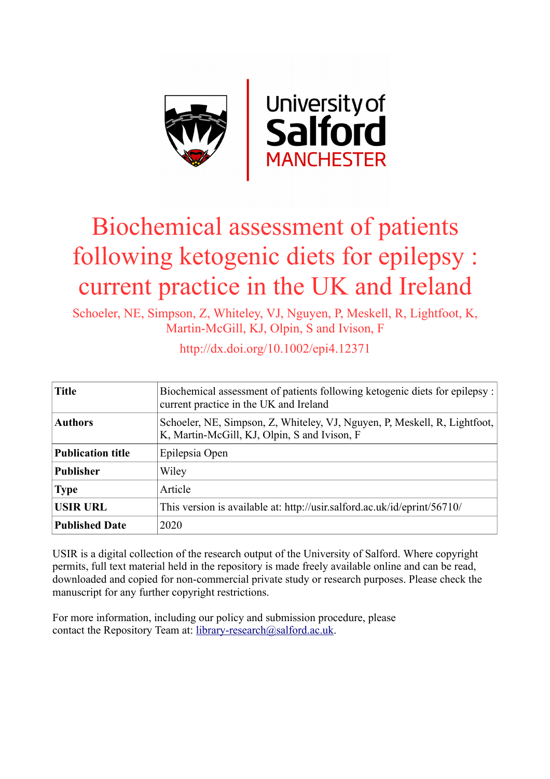

# Biochemical assessment of patients following ketogenic diets for epilepsy : current practice in the UK and Ireland

Schoeler, NE, Simpson, Z, Whiteley, VJ, Nguyen, P, Meskell, R, Lightfoot, K, Martin-McGill, KJ, Olpin, S and Ivison, F

| <b>Title</b>             | Biochemical assessment of patients following ketogenic diets for epilepsy :<br>current practice in the UK and Ireland     |
|--------------------------|---------------------------------------------------------------------------------------------------------------------------|
| <b>Authors</b>           | Schoeler, NE, Simpson, Z, Whiteley, VJ, Nguyen, P, Meskell, R, Lightfoot,<br>K, Martin-McGill, KJ, Olpin, S and Ivison, F |
| <b>Publication title</b> | Epilepsia Open                                                                                                            |
| Publisher                | Wiley                                                                                                                     |
| <b>Type</b>              | Article                                                                                                                   |
| <b>USIR URL</b>          | This version is available at: http://usir.salford.ac.uk/id/eprint/56710/                                                  |
| <b>Published Date</b>    | 2020                                                                                                                      |

http://dx.doi.org/10.1002/epi4.12371

USIR is a digital collection of the research output of the University of Salford. Where copyright permits, full text material held in the repository is made freely available online and can be read, downloaded and copied for non-commercial private study or research purposes. Please check the manuscript for any further copyright restrictions.

For more information, including our policy and submission procedure, please contact the Repository Team at: [library-research@salford.ac.uk.](mailto:library-research@salford.ac.uk)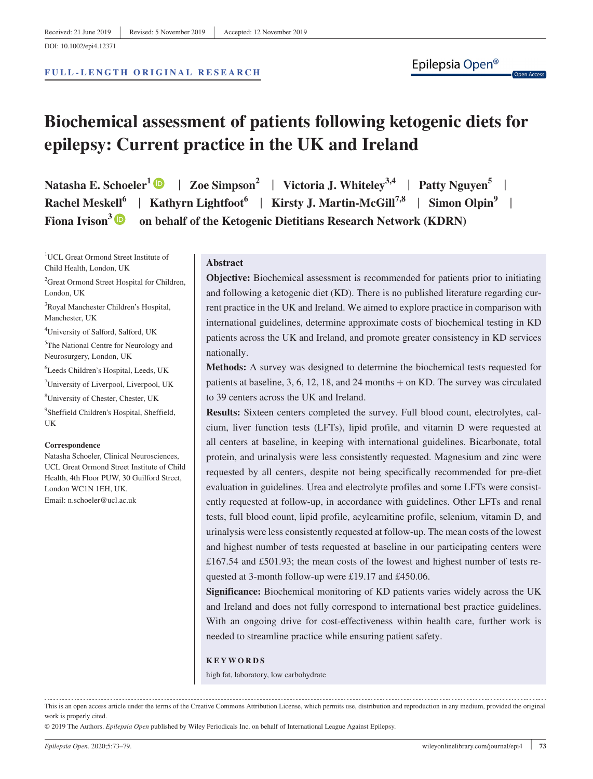#### **FULL-LENGTH ORIGINAL RESEARCH**

 $\overline{\mathbf{h}}$ 

## **Biochemical assessment of patients following ketogenic diets for epilepsy: Current practice in the UK and Ireland**

**Natasha E. Schoeler<sup>1</sup>**  $\bullet$  **| Zoe Simpson<sup>2</sup> | Victoria J. Whiteley<sup>3,4</sup> | Patty Nguyen<sup>5</sup> | Rachel Meskell<sup>6</sup>** | **Kathyrn Lightfoot6** | **Kirsty J. Martin-McGill7,8** | **Simon Olpin9** | **Fiona Ivison<sup>3</sup> on behalf of the Ketogenic Dietitians Research Network (KDRN)**

<sup>1</sup>UCL Great Ormond Street Institute of Child Health, London, UK

<sup>2</sup>Great Ormond Street Hospital for Children, London, UK

3 Royal Manchester Children's Hospital, Manchester, UK

4 University of Salford, Salford, UK

5 The National Centre for Neurology and Neurosurgery, London, UK

6 Leeds Children's Hospital, Leeds, UK

7 University of Liverpool, Liverpool, UK

8 University of Chester, Chester, UK

9 Sheffield Children's Hospital, Sheffield, UK

#### **Correspondence**

Natasha Schoeler, Clinical Neurosciences, UCL Great Ormond Street Institute of Child Health, 4th Floor PUW, 30 Guilford Street, London WC1N 1EH, UK. Email: [n.schoeler@ucl.ac.uk](mailto:n.schoeler@ucl.ac.uk)

#### **Abstract**

**Objective:** Biochemical assessment is recommended for patients prior to initiating and following a ketogenic diet (KD). There is no published literature regarding current practice in the UK and Ireland. We aimed to explore practice in comparison with international guidelines, determine approximate costs of biochemical testing in KD patients across the UK and Ireland, and promote greater consistency in KD services nationally.

**Methods:** A survey was designed to determine the biochemical tests requested for patients at baseline, 3, 6, 12, 18, and 24 months + on KD. The survey was circulated to 39 centers across the UK and Ireland.

**Results:** Sixteen centers completed the survey. Full blood count, electrolytes, calcium, liver function tests (LFTs), lipid profile, and vitamin D were requested at all centers at baseline, in keeping with international guidelines. Bicarbonate, total protein, and urinalysis were less consistently requested. Magnesium and zinc were requested by all centers, despite not being specifically recommended for pre-diet evaluation in guidelines. Urea and electrolyte profiles and some LFTs were consistently requested at follow-up, in accordance with guidelines. Other LFTs and renal tests, full blood count, lipid profile, acylcarnitine profile, selenium, vitamin D, and urinalysis were less consistently requested at follow-up. The mean costs of the lowest and highest number of tests requested at baseline in our participating centers were £167.54 and £501.93; the mean costs of the lowest and highest number of tests requested at 3-month follow-up were £19.17 and £450.06.

**Significance:** Biochemical monitoring of KD patients varies widely across the UK and Ireland and does not fully correspond to international best practice guidelines. With an ongoing drive for cost-effectiveness within health care, further work is needed to streamline practice while ensuring patient safety.

#### **KEYWORDS**

high fat, laboratory, low carbohydrate

This is an open access article under the terms of the [Creative Commons Attribution](http://creativecommons.org/licenses/by/4.0/) License, which permits use, distribution and reproduction in any medium, provided the original work is properly cited.

© 2019 The Authors. *Epilepsia Open* published by Wiley Periodicals Inc. on behalf of International League Against Epilepsy.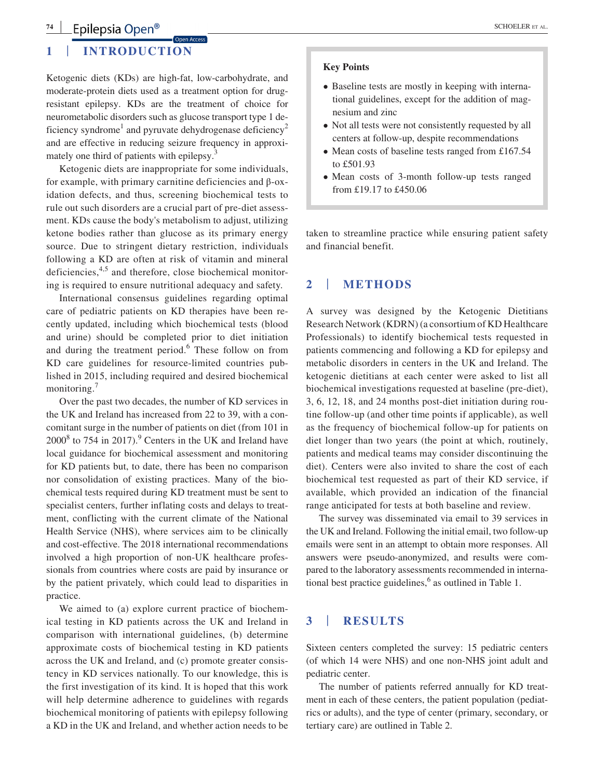#### **<sup>74</sup> <sup>|</sup>** SCHOELER et al.

## **1** | **INTRODUCTION**

Ketogenic diets (KDs) are high-fat, low-carbohydrate, and moderate-protein diets used as a treatment option for drugresistant epilepsy. KDs are the treatment of choice for neurometabolic disorders such as glucose transport type 1 deficiency syndrome<sup>1</sup> and pyruvate dehydrogenase deficiency<sup>2</sup> and are effective in reducing seizure frequency in approximately one third of patients with epilepsy.<sup>3</sup>

Ketogenic diets are inappropriate for some individuals, for example, with primary carnitine deficiencies and β-oxidation defects, and thus, screening biochemical tests to rule out such disorders are a crucial part of pre-diet assessment. KDs cause the body's metabolism to adjust, utilizing ketone bodies rather than glucose as its primary energy source. Due to stringent dietary restriction, individuals following a KD are often at risk of vitamin and mineral deficiencies, $4,5$  and therefore, close biochemical monitoring is required to ensure nutritional adequacy and safety.

International consensus guidelines regarding optimal care of pediatric patients on KD therapies have been recently updated, including which biochemical tests (blood and urine) should be completed prior to diet initiation and during the treatment period.<sup>6</sup> These follow on from KD care guidelines for resource-limited countries published in 2015, including required and desired biochemical monitoring.<sup>7</sup>

Over the past two decades, the number of KD services in the UK and Ireland has increased from 22 to 39, with a concomitant surge in the number of patients on diet (from 101 in  $2000<sup>8</sup>$  to 754 in 2017).<sup>9</sup> Centers in the UK and Ireland have local guidance for biochemical assessment and monitoring for KD patients but, to date, there has been no comparison nor consolidation of existing practices. Many of the biochemical tests required during KD treatment must be sent to specialist centers, further inflating costs and delays to treatment, conflicting with the current climate of the National Health Service (NHS), where services aim to be clinically and cost-effective. The 2018 international recommendations involved a high proportion of non-UK healthcare professionals from countries where costs are paid by insurance or by the patient privately, which could lead to disparities in practice.

We aimed to (a) explore current practice of biochemical testing in KD patients across the UK and Ireland in comparison with international guidelines, (b) determine approximate costs of biochemical testing in KD patients across the UK and Ireland, and (c) promote greater consistency in KD services nationally. To our knowledge, this is the first investigation of its kind. It is hoped that this work will help determine adherence to guidelines with regards biochemical monitoring of patients with epilepsy following a KD in the UK and Ireland, and whether action needs to be

#### **Key Points**

- Baseline tests are mostly in keeping with international guidelines, except for the addition of magnesium and zinc
- Not all tests were not consistently requested by all centers at follow-up, despite recommendations
- Mean costs of baseline tests ranged from £167.54 to £501.93
- Mean costs of 3-month follow-up tests ranged from £19.17 to £450.06

taken to streamline practice while ensuring patient safety and financial benefit.

## **2** | **METHODS**

A survey was designed by the Ketogenic Dietitians Research Network (KDRN) (a consortium of KD Healthcare Professionals) to identify biochemical tests requested in patients commencing and following a KD for epilepsy and metabolic disorders in centers in the UK and Ireland. The ketogenic dietitians at each center were asked to list all biochemical investigations requested at baseline (pre-diet), 3, 6, 12, 18, and 24 months post-diet initiation during routine follow-up (and other time points if applicable), as well as the frequency of biochemical follow-up for patients on diet longer than two years (the point at which, routinely, patients and medical teams may consider discontinuing the diet). Centers were also invited to share the cost of each biochemical test requested as part of their KD service, if available, which provided an indication of the financial range anticipated for tests at both baseline and review.

The survey was disseminated via email to 39 services in the UK and Ireland. Following the initial email, two follow-up emails were sent in an attempt to obtain more responses. All answers were pseudo-anonymized, and results were compared to the laboratory assessments recommended in international best practice guidelines,  $6$  as outlined in Table 1.

## **3** | **RESULTS**

Sixteen centers completed the survey: 15 pediatric centers (of which 14 were NHS) and one non-NHS joint adult and pediatric center.

The number of patients referred annually for KD treatment in each of these centers, the patient population (pediatrics or adults), and the type of center (primary, secondary, or tertiary care) are outlined in Table 2.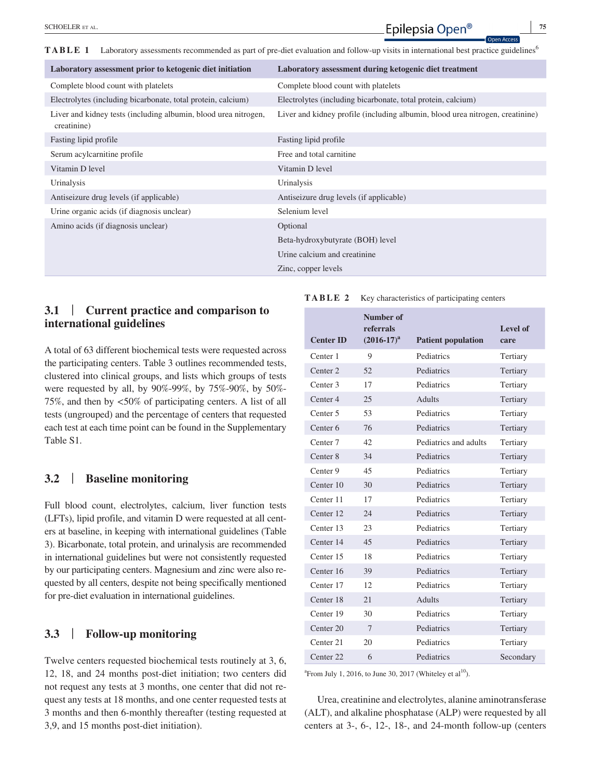## **Epilepsia Open**<sup>®</sup>  $\frac{1}{15}$

**TABLE 1** Laboratory assessments recommended as part of pre-diet evaluation and follow-up visits in international best practice guidelines

| Laboratory assessment prior to ketogenic diet initiation                       | Laboratory assessment during ketogenic diet treatment                         |
|--------------------------------------------------------------------------------|-------------------------------------------------------------------------------|
| Complete blood count with platelets                                            | Complete blood count with platelets                                           |
| Electrolytes (including bicarbonate, total protein, calcium)                   | Electrolytes (including bicarbonate, total protein, calcium)                  |
| Liver and kidney tests (including albumin, blood urea nitrogen,<br>creatinine) | Liver and kidney profile (including albumin, blood urea nitrogen, creatinine) |
| Fasting lipid profile                                                          | Fasting lipid profile                                                         |
| Serum acylcarnitine profile                                                    | Free and total carnitine                                                      |
| Vitamin D level                                                                | Vitamin D level                                                               |
| Urinalysis                                                                     | Urinalysis                                                                    |
| Antiseizure drug levels (if applicable)                                        | Antiseizure drug levels (if applicable)                                       |
| Urine organic acids (if diagnosis unclear)                                     | Selenium level                                                                |
| Amino acids (if diagnosis unclear)                                             | Optional                                                                      |
|                                                                                | Beta-hydroxybutyrate (BOH) level                                              |
|                                                                                | Urine calcium and creatinine.                                                 |
|                                                                                | Zinc, copper levels                                                           |

## **3.1** | **Current practice and comparison to international guidelines**

A total of 63 different biochemical tests were requested across the participating centers. Table 3 outlines recommended tests, clustered into clinical groups, and lists which groups of tests were requested by all, by 90%-99%, by 75%-90%, by 50%- 75%, and then by <50% of participating centers. A list of all tests (ungrouped) and the percentage of centers that requested each test at each time point can be found in the Supplementary Table S1.

## **3.2** | **Baseline monitoring**

Full blood count, electrolytes, calcium, liver function tests (LFTs), lipid profile, and vitamin D were requested at all centers at baseline, in keeping with international guidelines (Table 3). Bicarbonate, total protein, and urinalysis are recommended in international guidelines but were not consistently requested by our participating centers. Magnesium and zinc were also requested by all centers, despite not being specifically mentioned for pre-diet evaluation in international guidelines.

#### **3.3** | **Follow-up monitoring**

Twelve centers requested biochemical tests routinely at 3, 6, 12, 18, and 24 months post-diet initiation; two centers did not request any tests at 3 months, one center that did not request any tests at 18 months, and one center requested tests at 3 months and then 6-monthly thereafter (testing requested at 3,9, and 15 months post-diet initiation).

| <b>Center ID</b>    | Number of<br>referrals<br>$(2016-17)^{a}$ | <b>Patient population</b> | Level of<br>care |
|---------------------|-------------------------------------------|---------------------------|------------------|
| Center 1            | 9                                         | Pediatrics                | Tertiary         |
| Center <sub>2</sub> | 52                                        | Pediatrics                | Tertiary         |
| Center <sub>3</sub> | 17                                        | Pediatrics                | Tertiary         |
| Center <sub>4</sub> | 25                                        | Adults                    | Tertiary         |
| Center <sub>5</sub> | 53                                        | Pediatrics                | Tertiary         |
| Center <sub>6</sub> | 76                                        | Pediatrics                | Tertiary         |

**TABLE 2** Key characteristics of participating centers

| <b>Center ID</b>     | $(2016-17)^{a}$ | <b>Patient population</b>    | care      |
|----------------------|-----------------|------------------------------|-----------|
| Center 1             | 9               | Pediatrics                   | Tertiary  |
| Center <sub>2</sub>  | 52              | Pediatrics                   | Tertiary  |
| Center 3             | 17              | <b>Pediatrics</b>            | Tertiary  |
| Center <sub>4</sub>  | 25              | <b>Adults</b>                | Tertiary  |
| Center 5             | 53              | Pediatrics                   | Tertiary  |
| Center <sub>6</sub>  | 76              | Pediatrics                   | Tertiary  |
| Center <sub>7</sub>  | 42              | Pediatrics and adults        | Tertiary  |
| Center <sub>8</sub>  | 34              | Pediatrics                   | Tertiary  |
| Center <sub>9</sub>  | 45              | Pediatrics                   | Tertiary  |
| Center 10            | 30              | Pediatrics                   | Tertiary  |
| Center 11            | 17              | Pediatrics                   | Tertiary  |
| Center 12            | 24              | Pediatrics                   | Tertiary  |
| Center 13            | 23              | Pediatrics                   | Tertiary  |
| Center 14            | 45              | Pediatrics                   | Tertiary  |
| Center 15            | 18              | Pediatrics                   | Tertiary  |
| Center 16            | 39              | Pediatrics                   | Tertiary  |
| Center 17            | 12              | Pediatrics                   | Tertiary  |
| Center 18            | 21              | <b>Adults</b>                | Tertiary  |
| Center 19            | 30              | Pediatrics                   | Tertiary  |
| Center 20            | 7               | Pediatrics                   | Tertiary  |
| Center 21            | 20              | <b>Pediatrics</b>            | Tertiary  |
| Center <sub>22</sub> | 6               | Pediatrics<br>1 <sub>0</sub> | Secondary |

<sup>a</sup> From July 1, 2016, to June 30, 2017 (Whiteley et al<sup>10</sup>).

Urea, creatinine and electrolytes, alanine aminotransferase (ALT), and alkaline phosphatase (ALP) were requested by all centers at 3-, 6-, 12-, 18-, and 24-month follow-up (centers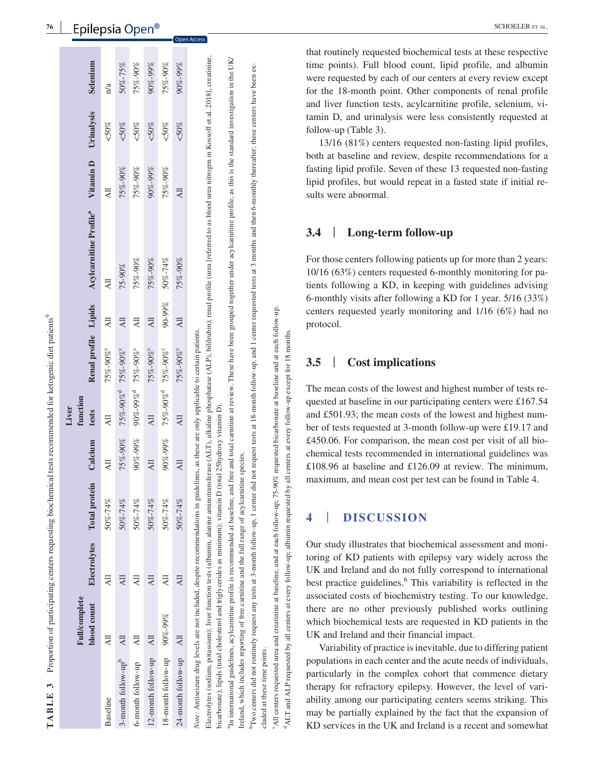|          | $\Gamma$ A B L E 3 Proportion of participating centers requesting biochemical tests recommended for ketogenic diet patients |                                                |        |          |              |                                                                              |          |          |
|----------|-----------------------------------------------------------------------------------------------------------------------------|------------------------------------------------|--------|----------|--------------|------------------------------------------------------------------------------|----------|----------|
|          |                                                                                                                             |                                                |        | Liver    |              |                                                                              |          |          |
|          | <b>Tull/complet</b>                                                                                                         |                                                |        | function |              |                                                                              |          |          |
|          |                                                                                                                             | blood count Electrolytes Total protein Calcium |        | tests    |              | Renal profile Lipids Acylcarnitine Profile <sup>8</sup> Vitamin D Urinalysis |          | Selenium |
| Baseline |                                                                                                                             | 50%-74%                                        | 치<br>국 |          | 75%-90%° All |                                                                              | ${<}50%$ | n/a      |

3-month follow-upb All All 50%-74% 75%-90% 75%-90%d 75%-90%c All 75-90% 75%-90% <50% 50%-75% 6-month follow-up All All 50%-74% 90%-99% 90%-99%d 75%-90%c All 75%-90% 75%-90% <50% 75%-90% 12-month follow-up All All 50%-74% All All 75%-90%c All 75%-90% 90%-99% <50% 90%-99% 18-month follow-up 90%-99% All 50%-74% 90%-99% 75%-90%d 75%-90%c 90-99% 50%-74% 75%-90% <50% 75%-90% 24-month follow-up All All All 75%-90%-90% All All All 75%-90%-90% All 75%-90%-90% All 75%-90%-90%-90%-90%-90%

75%-90%<sup>d</sup>  $90\%-99\%$ 

75%-90% 90%-99%

 $50\% - 74\%$ 

 $\overline{AB}$ 

 $\lambda \mathbf{I}$  $\Xi$  $\overline{\mathrm{A}}\mathrm{I}$ 

3-month follow-up<sup>b</sup> 6-month follow-up

p ř 75%-90%

Note: Antiseizure drug levels are not included, despite recommendations in guidelines, as these are only applicable to certain patients. *Note:* Antiseizure drug levels are not included, despite recommendations in guidelines, as these are only applicable to certain patients. Electrolytes (sodium, potassium); liver function tests (albumin, alanine aminotransferase (ALT), alkaline phosphatase (ALP), billrubin); renal profile (urea [referred to as blood urea nitrogen in Kossoff et al. 2018], crea Electrolytes (sodium, potassium); liver function tests (albumin, alanine aminotransferase (ALT), alkaline phosphatase (ALP), billrubin); renal profile (urea [referred to as blood urea nitrogen in Kossoff et al. 2018], crea bicarbonate); lipids (total cholesterol and triglycerides as minimum); vitamin D (total 25hydroxy vitamin D) bicarbonate); lipids (total cholesterol and triglycerides as minimum); vitamin D (total 25hydroxy vitamin D).

<sup>3</sup>In international guidelines, acylcarnitine profile is recommended at baseline, and free and total carnitine at review. These have been grouped together under acylcarnitine profile, as this is the standard investigation "In international guidelines, acylcarnitine profile is recommended at baseline, and free and total carnitine at review. These have been grouped together under acylcarnitine profile, as this is the standard investigation in Ireland, which includes reporting of free carnitine and the full range of acylcarnitine species. Ireland, which includes reporting of free carnitine and the full range of acylcamitine species.

Two centers did not routinely request any tests at 3-month follow-up, 1 center tests at 18-month follow-up, and 1 center requested tests at 3 months and then 6-monthly thereafter; these centers have been ex- $\Pr$ wo centers did not routinely request any tests at 3-month follow-up, 1 center did not request tests at 18-month follow-up, and 1 center requested tests at 3 months and then 6-monthly thereafter; these centers have bee cluded at these time points. cluded at these time points

cAll centers requested urea and creatinine at baseline, and at each follow-up; 75-90% requested bicarbonate at baseline and at each follow-up. "All centers requested urea and creatinine at baseline, and at each follow-up; 75-90% requested bicarbonate at baseline and at each follow-up,

 $\Delta\text{AT}$  and ALP requested by all centers at every follow-up; albumin requested by all centers at every follow-up except for 18 months. <sup>4</sup>ALT and ALP requested by all centers at every follow-up; albumin requested by all centers at every follow-up except for 18 months. that routinely requested biochemical tests at these respective time points). Full blood count, lipid profile, and albumin were requested by each of our centers at every review except for the 18-month point. Other components of renal profile and liver function tests, acylcarnitine profile, selenium, vi tamin D, and urinalysis were less consistently requested at follow-up (Table 3).

13/16 (81%) centers requested non-fasting lipid profiles, both at baseline and review, despite recommendations for a fasting lipid profile. Seven of these 13 requested non-fasting lipid profiles, but would repeat in a fasted state if initial re sults were abnormal.

#### **3.4** | **Long-term follow-up**

For those centers following patients up for more than 2 years: 10/16 (63%) centers requested 6-monthly monitoring for pa tients following a KD, in keeping with guidelines advising 6-monthly visits after following a KD for 1 year. 5/16 (33%) centers requested yearly monitoring and 1/16 (6%) had no protocol.

#### **3.5** | **Cost implications**

The mean costs of the lowest and highest number of tests re quested at baseline in our participating centers were £167.54 and £501.93; the mean costs of the lowest and highest num ber of tests requested at 3-month follow-up were £19.17 and £450.06. For comparison, the mean cost per visit of all bio chemical tests recommended in international guidelines was £108.96 at baseline and £126.09 at review. The minimum, maximum, and mean cost per test can be found in Table 4.

## **4** | **DISCUSSION**

Our study illustrates that biochemical assessment and moni toring of KD patients with epilepsy vary widely across the UK and Ireland and do not fully correspond to international best practice guidelines. 6 This variability is reflected in the associated costs of biochemistry testing. To our knowledge, there are no other previously published works outlining which biochemical tests are requested in KD patients in the UK and Ireland and their financial impact.

Variability of practice is inevitable, due to differing patient populations in each center and the acute needs of individuals, particularly in the complex cohort that commence dietary therapy for refractory epilepsy. However, the level of vari ability among our participating centers seems striking. This may be partially explained by the fact that the expansion of KD services in the UK and Ireland is a recent and somewhat

50%-75% 75%-90% 90%-99% 75%-90% 90%-99%

 $<$ 50%  $< 50\%$  $<$ 50%

 $15\% - 90\%$ 

75%-90% 90%-99%

75%-90% 75-90%

> $\overline{\mathrm{d}}$ All

75%-90%°

 $\overline{\mathrm{d}}$ 

 $< 50\%$ 

75%-90%

50%-74% 75%-90%

90-99%

75%-90%° 75%-90%

 $75\% - 90\%$ <sup>d</sup>

90%-99%

90%-99%

 $\overline{\mathrm{All}}$ 

24-month follow-up 18-month follow-up 12-month follow-up

 $\overline{A}$ ll

All

50%-74% 50%-74% 50%-74%

 $\overline{AB}$  $\overline{a}$  $\overline{\mathsf{A}}\mathsf{I}\mathsf{I}$  $\overline{AB}$ 

75%-90%

 $\overline{AB}$ 

75%-90%°

 $\overline{AB}$ 

 $\overline{AB}$ 

 $50\% - 74\%$ 

 $<$ 50%

 $\overline{AB}$ 

 $\mathbf{a}$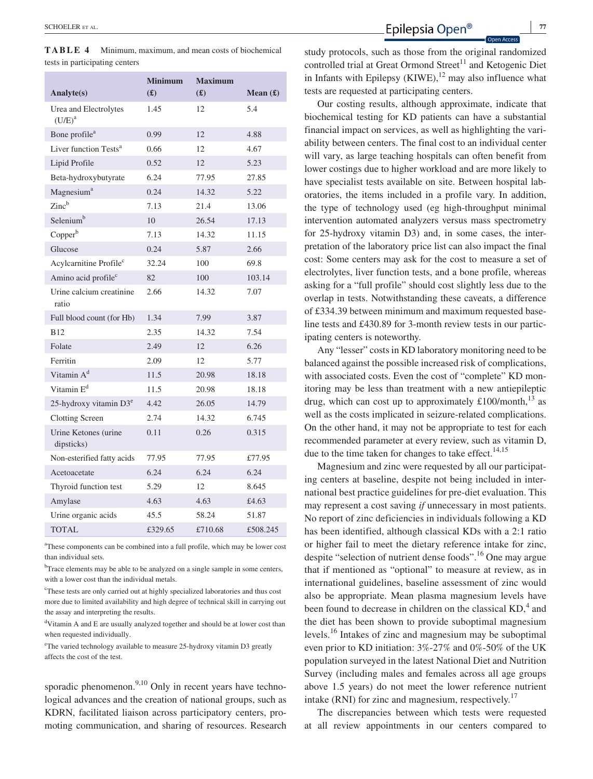**TABLE 4** Minimum, maximum, and mean costs of biochemical tests in participating centers

| Analyte(s)                         | <b>Minimum</b><br>$f(\textbf{f})$ | <b>Maximum</b><br>(£) | Mean $(f)$ |
|------------------------------------|-----------------------------------|-----------------------|------------|
| Urea and Electrolytes<br>$(U/E)^a$ | 1.45                              | 12                    | 5.4        |
| Bone profile <sup>a</sup>          | 0.99                              | 12                    | 4.88       |
| Liver function Tests <sup>a</sup>  | 0.66                              | 12                    | 4.67       |
| Lipid Profile                      | 0.52                              | 12                    | 5.23       |
| Beta-hydroxybutyrate               | 6.24                              | 77.95                 | 27.85      |
| Magnesium <sup>a</sup>             | 0.24                              | 14.32                 | 5.22       |
| Zinc <sup>b</sup>                  | 7.13                              | 21.4                  | 13.06      |
| Selenium <sup>b</sup>              | 10                                | 26.54                 | 17.13      |
| Copper <sup>b</sup>                | 7.13                              | 14.32                 | 11.15      |
| Glucose                            | 0.24                              | 5.87                  | 2.66       |
| Acylcarnitine Profile <sup>c</sup> | 32.24                             | 100                   | 69.8       |
| Amino acid profile <sup>c</sup>    | 82                                | 100                   | 103.14     |
| Urine calcium creatinine<br>ratio  | 2.66                              | 14.32                 | 7.07       |
| Full blood count (for Hb)          | 1.34                              | 7.99                  | 3.87       |
| <b>B12</b>                         | 2.35                              | 14.32                 | 7.54       |
| Folate                             | 2.49                              | 12                    | 6.26       |
| Ferritin                           | 2.09                              | 12                    | 5.77       |
| Vitamin $A^d$                      | 11.5                              | 20.98                 | 18.18      |
| Vitamin E <sup>d</sup>             | 11.5                              | 20.98                 | 18.18      |
| 25-hydroxy vitamin D3 <sup>e</sup> | 4.42                              | 26.05                 | 14.79      |
| <b>Clotting Screen</b>             | 2.74                              | 14.32                 | 6.745      |
| Urine Ketones (urine<br>dipsticks) | 0.11                              | 0.26                  | 0.315      |
| Non-esterified fatty acids         | 77.95                             | 77.95                 | £77.95     |
| Acetoacetate                       | 6.24                              | 6.24                  | 6.24       |
| Thyroid function test              | 5.29                              | 12                    | 8.645      |
| Amylase                            | 4.63                              | 4.63                  | £4.63      |
| Urine organic acids                | 45.5                              | 58.24                 | 51.87      |
| TOTAL                              | £329.65                           | £710.68               | £508.245   |

a These components can be combined into a full profile, which may be lower cost than individual sets.

<sup>b</sup>Trace elements may be able to be analyzed on a single sample in some centers, with a lower cost than the individual metals.

c These tests are only carried out at highly specialized laboratories and thus cost more due to limited availability and high degree of technical skill in carrying out the assay and interpreting the results.

<sup>d</sup>Vitamin A and E are usually analyzed together and should be at lower cost than when requested individually.

e The varied technology available to measure 25-hydroxy vitamin D3 greatly affects the cost of the test.

sporadic phenomenon.<sup>9,10</sup> Only in recent years have technological advances and the creation of national groups, such as KDRN, facilitated liaison across participatory centers, promoting communication, and sharing of resources. Research study protocols, such as those from the original randomized controlled trial at Great Ormond Street<sup>11</sup> and Ketogenic Diet in Infants with Epilepsy  $(KIWE)$ ,<sup>12</sup> may also influence what tests are requested at participating centers.

Our costing results, although approximate, indicate that biochemical testing for KD patients can have a substantial financial impact on services, as well as highlighting the variability between centers. The final cost to an individual center will vary, as large teaching hospitals can often benefit from lower costings due to higher workload and are more likely to have specialist tests available on site. Between hospital laboratories, the items included in a profile vary. In addition, the type of technology used (eg high-throughput minimal intervention automated analyzers versus mass spectrometry for 25-hydroxy vitamin D3) and, in some cases, the interpretation of the laboratory price list can also impact the final cost: Some centers may ask for the cost to measure a set of electrolytes, liver function tests, and a bone profile, whereas asking for a "full profile" should cost slightly less due to the overlap in tests. Notwithstanding these caveats, a difference of £334.39 between minimum and maximum requested baseline tests and £430.89 for 3-month review tests in our participating centers is noteworthy.

Any "lesser" costs in KD laboratory monitoring need to be balanced against the possible increased risk of complications, with associated costs. Even the cost of "complete" KD monitoring may be less than treatment with a new antiepileptic drug, which can cost up to approximately  $\pounds100/m$ onth,<sup>13</sup> as well as the costs implicated in seizure-related complications. On the other hand, it may not be appropriate to test for each recommended parameter at every review, such as vitamin D, due to the time taken for changes to take effect. $14,15$ 

Magnesium and zinc were requested by all our participating centers at baseline, despite not being included in international best practice guidelines for pre-diet evaluation. This may represent a cost saving *if* unnecessary in most patients. No report of zinc deficiencies in individuals following a KD has been identified, although classical KDs with a 2:1 ratio or higher fail to meet the dietary reference intake for zinc, despite "selection of nutrient dense foods".<sup>16</sup> One may argue that if mentioned as "optional" to measure at review, as in international guidelines, baseline assessment of zinc would also be appropriate. Mean plasma magnesium levels have been found to decrease in children on the classical  $KD$ , and the diet has been shown to provide suboptimal magnesium levels.16 Intakes of zinc and magnesium may be suboptimal even prior to KD initiation: 3%-27% and 0%-50% of the UK population surveyed in the latest National Diet and Nutrition Survey (including males and females across all age groups above 1.5 years) do not meet the lower reference nutrient intake (RNI) for zinc and magnesium, respectively.<sup>17</sup>

The discrepancies between which tests were requested at all review appointments in our centers compared to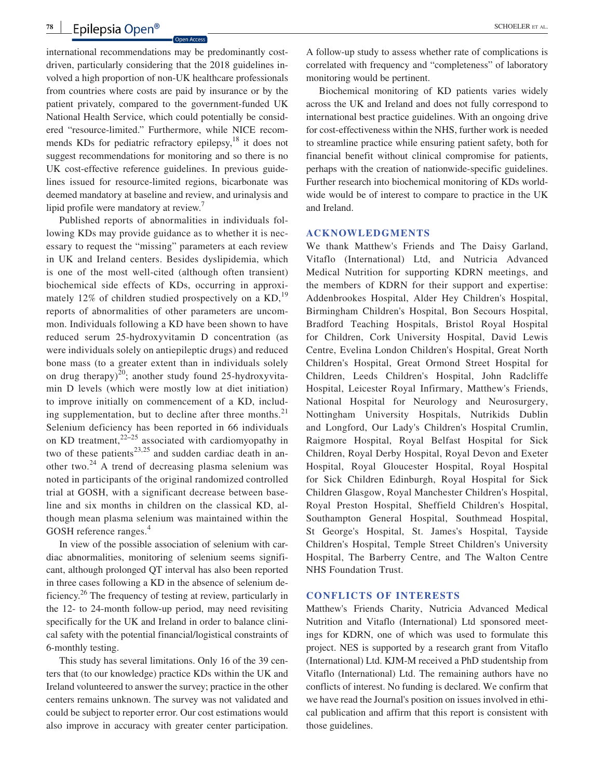#### **<sup>78</sup> <sup>|</sup> Epilepsia Open<sup>®</sup> 2008 and 2008 and 2008 and 2008 and 300 and 300 and 300 and 300 and 300 and 300 and 300 and 300 and 300 and 300 and 300 and 300 and 300 and 300 and 300 and 300 and 300 and 300 and 300 and 300 and 300 and**

international recommendations may be predominantly costdriven, particularly considering that the 2018 guidelines involved a high proportion of non-UK healthcare professionals from countries where costs are paid by insurance or by the patient privately, compared to the government-funded UK National Health Service, which could potentially be considered "resource-limited." Furthermore, while NICE recommends KDs for pediatric refractory epilepsy,<sup>18</sup> it does not suggest recommendations for monitoring and so there is no UK cost-effective reference guidelines. In previous guidelines issued for resource-limited regions, bicarbonate was deemed mandatory at baseline and review, and urinalysis and lipid profile were mandatory at review.<sup>7</sup>

**Open Access** 

Published reports of abnormalities in individuals following KDs may provide guidance as to whether it is necessary to request the "missing" parameters at each review in UK and Ireland centers. Besides dyslipidemia, which is one of the most well-cited (although often transient) biochemical side effects of KDs, occurring in approximately 12% of children studied prospectively on a  $KD<sup>19</sup>$ reports of abnormalities of other parameters are uncommon. Individuals following a KD have been shown to have reduced serum 25-hydroxyvitamin D concentration (as were individuals solely on antiepileptic drugs) and reduced bone mass (to a greater extent than in individuals solely on drug therapy)<sup>20</sup>; another study found 25-hydroxyvitamin D levels (which were mostly low at diet initiation) to improve initially on commencement of a KD, including supplementation, but to decline after three months.<sup>21</sup> Selenium deficiency has been reported in 66 individuals on KD treatment,  $22-25$  associated with cardiomyopathy in two of these patients<sup>23,25</sup> and sudden cardiac death in another two. $^{24}$  A trend of decreasing plasma selenium was noted in participants of the original randomized controlled trial at GOSH, with a significant decrease between baseline and six months in children on the classical KD, although mean plasma selenium was maintained within the GOSH reference ranges.<sup>4</sup>

In view of the possible association of selenium with cardiac abnormalities, monitoring of selenium seems significant, although prolonged QT interval has also been reported in three cases following a KD in the absence of selenium deficiency.26 The frequency of testing at review, particularly in the 12- to 24-month follow-up period, may need revisiting specifically for the UK and Ireland in order to balance clinical safety with the potential financial/logistical constraints of 6-monthly testing.

This study has several limitations. Only 16 of the 39 centers that (to our knowledge) practice KDs within the UK and Ireland volunteered to answer the survey; practice in the other centers remains unknown. The survey was not validated and could be subject to reporter error. Our cost estimations would also improve in accuracy with greater center participation.

A follow-up study to assess whether rate of complications is correlated with frequency and "completeness" of laboratory monitoring would be pertinent.

Biochemical monitoring of KD patients varies widely across the UK and Ireland and does not fully correspond to international best practice guidelines. With an ongoing drive for cost-effectiveness within the NHS, further work is needed to streamline practice while ensuring patient safety, both for financial benefit without clinical compromise for patients, perhaps with the creation of nationwide-specific guidelines. Further research into biochemical monitoring of KDs worldwide would be of interest to compare to practice in the UK and Ireland.

#### **ACKNOWLEDGMENTS**

We thank Matthew's Friends and The Daisy Garland, Vitaflo (International) Ltd, and Nutricia Advanced Medical Nutrition for supporting KDRN meetings, and the members of KDRN for their support and expertise: Addenbrookes Hospital, Alder Hey Children's Hospital, Birmingham Children's Hospital, Bon Secours Hospital, Bradford Teaching Hospitals, Bristol Royal Hospital for Children, Cork University Hospital, David Lewis Centre, Evelina London Children's Hospital, Great North Children's Hospital, Great Ormond Street Hospital for Children, Leeds Children's Hospital, John Radcliffe Hospital, Leicester Royal Infirmary, Matthew's Friends, National Hospital for Neurology and Neurosurgery, Nottingham University Hospitals, Nutrikids Dublin and Longford, Our Lady's Children's Hospital Crumlin, Raigmore Hospital, Royal Belfast Hospital for Sick Children, Royal Derby Hospital, Royal Devon and Exeter Hospital, Royal Gloucester Hospital, Royal Hospital for Sick Children Edinburgh, Royal Hospital for Sick Children Glasgow, Royal Manchester Children's Hospital, Royal Preston Hospital, Sheffield Children's Hospital, Southampton General Hospital, Southmead Hospital, St George's Hospital, St. James's Hospital, Tayside Children's Hospital, Temple Street Children's University Hospital, The Barberry Centre, and The Walton Centre NHS Foundation Trust.

#### **CONFLICTS OF INTERESTS**

Matthew's Friends Charity, Nutricia Advanced Medical Nutrition and Vitaflo (International) Ltd sponsored meetings for KDRN, one of which was used to formulate this project. NES is supported by a research grant from Vitaflo (International) Ltd. KJM-M received a PhD studentship from Vitaflo (International) Ltd. The remaining authors have no conflicts of interest. No funding is declared. We confirm that we have read the Journal's position on issues involved in ethical publication and affirm that this report is consistent with those guidelines.